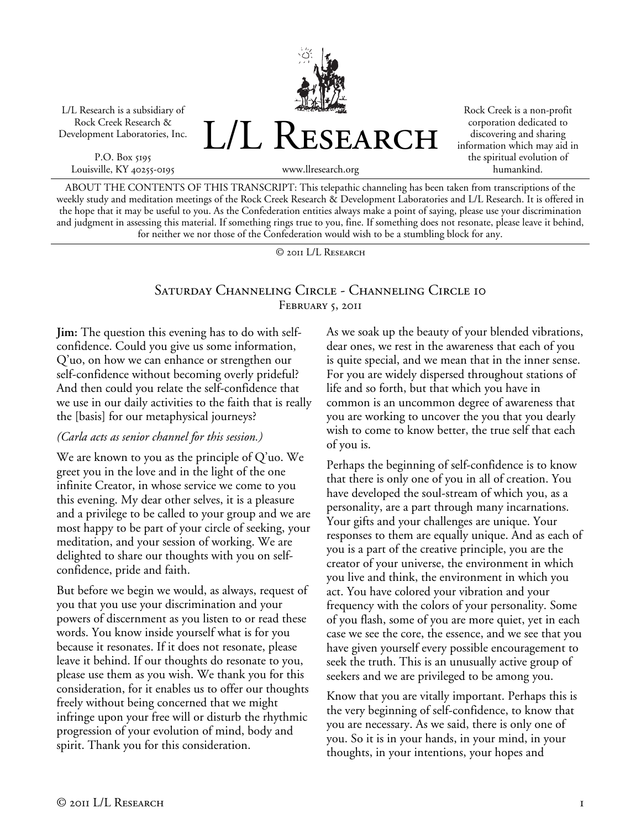L/L Research is a subsidiary of Rock Creek Research & Development Laboratories, Inc.

P.O. Box 5195 Louisville, KY 40255-0195

www.llresearch.org

L/L RESEARCH

Rock Creek is a non-profit corporation dedicated to discovering and sharing information which may aid in the spiritual evolution of humankind.

ABOUT THE CONTENTS OF THIS TRANSCRIPT: This telepathic channeling has been taken from transcriptions of the weekly study and meditation meetings of the Rock Creek Research & Development Laboratories and L/L Research. It is offered in the hope that it may be useful to you. As the Confederation entities always make a point of saying, please use your discrimination and judgment in assessing this material. If something rings true to you, fine. If something does not resonate, please leave it behind, for neither we nor those of the Confederation would wish to be a stumbling block for any.

© 2011 L/L Research

## Saturday Channeling Circle - Channeling Circle 10 FEBRUARY 5, 2011

**Jim:** The question this evening has to do with selfconfidence. Could you give us some information, Q'uo, on how we can enhance or strengthen our self-confidence without becoming overly prideful? And then could you relate the self-confidence that we use in our daily activities to the faith that is really the [basis] for our metaphysical journeys?

#### *(Carla acts as senior channel for this session.)*

We are known to you as the principle of Q'uo. We greet you in the love and in the light of the one infinite Creator, in whose service we come to you this evening. My dear other selves, it is a pleasure and a privilege to be called to your group and we are most happy to be part of your circle of seeking, your meditation, and your session of working. We are delighted to share our thoughts with you on selfconfidence, pride and faith.

But before we begin we would, as always, request of you that you use your discrimination and your powers of discernment as you listen to or read these words. You know inside yourself what is for you because it resonates. If it does not resonate, please leave it behind. If our thoughts do resonate to you, please use them as you wish. We thank you for this consideration, for it enables us to offer our thoughts freely without being concerned that we might infringe upon your free will or disturb the rhythmic progression of your evolution of mind, body and spirit. Thank you for this consideration.

As we soak up the beauty of your blended vibrations, dear ones, we rest in the awareness that each of you is quite special, and we mean that in the inner sense. For you are widely dispersed throughout stations of life and so forth, but that which you have in common is an uncommon degree of awareness that you are working to uncover the you that you dearly wish to come to know better, the true self that each of you is.

Perhaps the beginning of self-confidence is to know that there is only one of you in all of creation. You have developed the soul-stream of which you, as a personality, are a part through many incarnations. Your gifts and your challenges are unique. Your responses to them are equally unique. And as each of you is a part of the creative principle, you are the creator of your universe, the environment in which you live and think, the environment in which you act. You have colored your vibration and your frequency with the colors of your personality. Some of you flash, some of you are more quiet, yet in each case we see the core, the essence, and we see that you have given yourself every possible encouragement to seek the truth. This is an unusually active group of seekers and we are privileged to be among you.

Know that you are vitally important. Perhaps this is the very beginning of self-confidence, to know that you are necessary. As we said, there is only one of you. So it is in your hands, in your mind, in your thoughts, in your intentions, your hopes and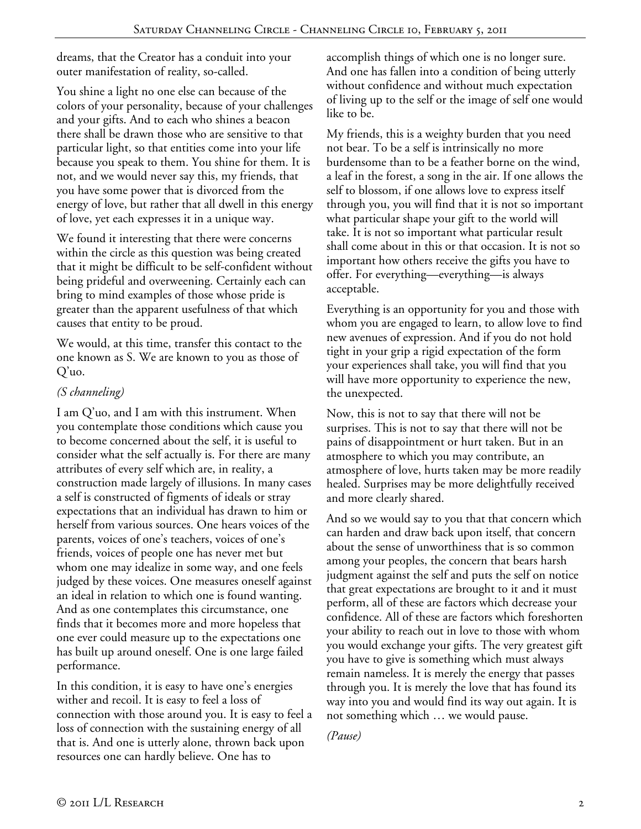dreams, that the Creator has a conduit into your outer manifestation of reality, so-called.

You shine a light no one else can because of the colors of your personality, because of your challenges and your gifts. And to each who shines a beacon there shall be drawn those who are sensitive to that particular light, so that entities come into your life because you speak to them. You shine for them. It is not, and we would never say this, my friends, that you have some power that is divorced from the energy of love, but rather that all dwell in this energy of love, yet each expresses it in a unique way.

We found it interesting that there were concerns within the circle as this question was being created that it might be difficult to be self-confident without being prideful and overweening. Certainly each can bring to mind examples of those whose pride is greater than the apparent usefulness of that which causes that entity to be proud.

We would, at this time, transfer this contact to the one known as S. We are known to you as those of Q'uo.

### *(S channeling)*

I am Q'uo, and I am with this instrument. When you contemplate those conditions which cause you to become concerned about the self, it is useful to consider what the self actually is. For there are many attributes of every self which are, in reality, a construction made largely of illusions. In many cases a self is constructed of figments of ideals or stray expectations that an individual has drawn to him or herself from various sources. One hears voices of the parents, voices of one's teachers, voices of one's friends, voices of people one has never met but whom one may idealize in some way, and one feels judged by these voices. One measures oneself against an ideal in relation to which one is found wanting. And as one contemplates this circumstance, one finds that it becomes more and more hopeless that one ever could measure up to the expectations one has built up around oneself. One is one large failed performance.

In this condition, it is easy to have one's energies wither and recoil. It is easy to feel a loss of connection with those around you. It is easy to feel a loss of connection with the sustaining energy of all that is. And one is utterly alone, thrown back upon resources one can hardly believe. One has to

accomplish things of which one is no longer sure. And one has fallen into a condition of being utterly without confidence and without much expectation of living up to the self or the image of self one would like to be.

My friends, this is a weighty burden that you need not bear. To be a self is intrinsically no more burdensome than to be a feather borne on the wind, a leaf in the forest, a song in the air. If one allows the self to blossom, if one allows love to express itself through you, you will find that it is not so important what particular shape your gift to the world will take. It is not so important what particular result shall come about in this or that occasion. It is not so important how others receive the gifts you have to offer. For everything—everything—is always acceptable.

Everything is an opportunity for you and those with whom you are engaged to learn, to allow love to find new avenues of expression. And if you do not hold tight in your grip a rigid expectation of the form your experiences shall take, you will find that you will have more opportunity to experience the new, the unexpected.

Now, this is not to say that there will not be surprises. This is not to say that there will not be pains of disappointment or hurt taken. But in an atmosphere to which you may contribute, an atmosphere of love, hurts taken may be more readily healed. Surprises may be more delightfully received and more clearly shared.

And so we would say to you that that concern which can harden and draw back upon itself, that concern about the sense of unworthiness that is so common among your peoples, the concern that bears harsh judgment against the self and puts the self on notice that great expectations are brought to it and it must perform, all of these are factors which decrease your confidence. All of these are factors which foreshorten your ability to reach out in love to those with whom you would exchange your gifts. The very greatest gift you have to give is something which must always remain nameless. It is merely the energy that passes through you. It is merely the love that has found its way into you and would find its way out again. It is not something which … we would pause.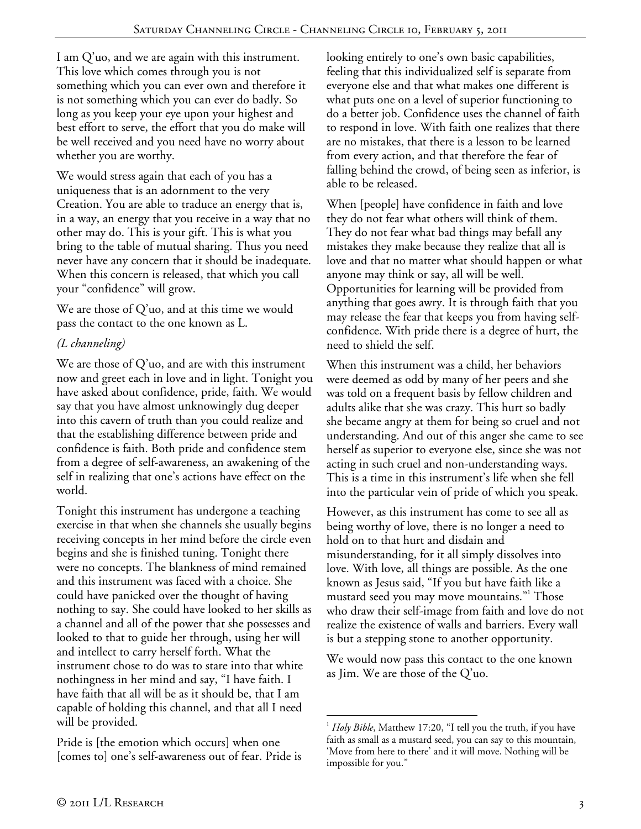I am Q'uo, and we are again with this instrument. This love which comes through you is not something which you can ever own and therefore it is not something which you can ever do badly. So long as you keep your eye upon your highest and best effort to serve, the effort that you do make will be well received and you need have no worry about whether you are worthy.

We would stress again that each of you has a uniqueness that is an adornment to the very Creation. You are able to traduce an energy that is, in a way, an energy that you receive in a way that no other may do. This is your gift. This is what you bring to the table of mutual sharing. Thus you need never have any concern that it should be inadequate. When this concern is released, that which you call your "confidence" will grow.

We are those of Q'uo, and at this time we would pass the contact to the one known as L.

# *(L channeling)*

We are those of  $Q'$ uo, and are with this instrument now and greet each in love and in light. Tonight you have asked about confidence, pride, faith. We would say that you have almost unknowingly dug deeper into this cavern of truth than you could realize and that the establishing difference between pride and confidence is faith. Both pride and confidence stem from a degree of self-awareness, an awakening of the self in realizing that one's actions have effect on the world.

Tonight this instrument has undergone a teaching exercise in that when she channels she usually begins receiving concepts in her mind before the circle even begins and she is finished tuning. Tonight there were no concepts. The blankness of mind remained and this instrument was faced with a choice. She could have panicked over the thought of having nothing to say. She could have looked to her skills as a channel and all of the power that she possesses and looked to that to guide her through, using her will and intellect to carry herself forth. What the instrument chose to do was to stare into that white nothingness in her mind and say, "I have faith. I have faith that all will be as it should be, that I am capable of holding this channel, and that all I need will be provided.

Pride is [the emotion which occurs] when one [comes to] one's self-awareness out of fear. Pride is

looking entirely to one's own basic capabilities, feeling that this individualized self is separate from everyone else and that what makes one different is what puts one on a level of superior functioning to do a better job. Confidence uses the channel of faith to respond in love. With faith one realizes that there are no mistakes, that there is a lesson to be learned from every action, and that therefore the fear of falling behind the crowd, of being seen as inferior, is able to be released.

When [people] have confidence in faith and love they do not fear what others will think of them. They do not fear what bad things may befall any mistakes they make because they realize that all is love and that no matter what should happen or what anyone may think or say, all will be well. Opportunities for learning will be provided from anything that goes awry. It is through faith that you may release the fear that keeps you from having selfconfidence. With pride there is a degree of hurt, the need to shield the self.

When this instrument was a child, her behaviors were deemed as odd by many of her peers and she was told on a frequent basis by fellow children and adults alike that she was crazy. This hurt so badly she became angry at them for being so cruel and not understanding. And out of this anger she came to see herself as superior to everyone else, since she was not acting in such cruel and non-understanding ways. This is a time in this instrument's life when she fell into the particular vein of pride of which you speak.

However, as this instrument has come to see all as being worthy of love, there is no longer a need to hold on to that hurt and disdain and misunderstanding, for it all simply dissolves into love. With love, all things are possible. As the one known as Jesus said, "If you but have faith like a mustard seed you may move mountains."1 Those who draw their self-image from faith and love do not realize the existence of walls and barriers. Every wall is but a stepping stone to another opportunity.

We would now pass this contact to the one known as Jim. We are those of the Q'uo.

<sup>-</sup>1 *Holy Bible*, Matthew 17:20, "I tell you the truth, if you have faith as small as a mustard seed, you can say to this mountain, 'Move from here to there' and it will move. Nothing will be impossible for you."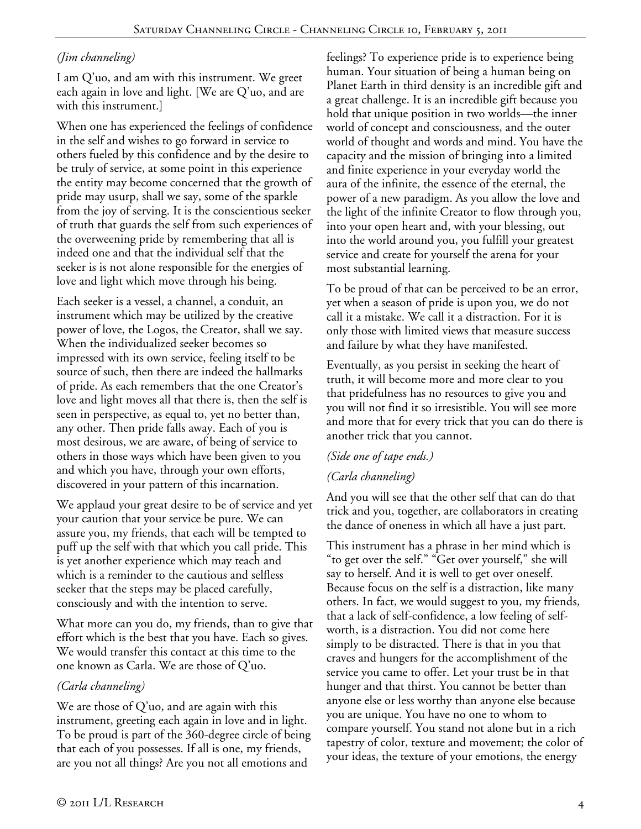## *(Jim channeling)*

I am Q'uo, and am with this instrument. We greet each again in love and light. [We are Q'uo, and are with this instrument.]

When one has experienced the feelings of confidence in the self and wishes to go forward in service to others fueled by this confidence and by the desire to be truly of service, at some point in this experience the entity may become concerned that the growth of pride may usurp, shall we say, some of the sparkle from the joy of serving. It is the conscientious seeker of truth that guards the self from such experiences of the overweening pride by remembering that all is indeed one and that the individual self that the seeker is is not alone responsible for the energies of love and light which move through his being.

Each seeker is a vessel, a channel, a conduit, an instrument which may be utilized by the creative power of love, the Logos, the Creator, shall we say. When the individualized seeker becomes so impressed with its own service, feeling itself to be source of such, then there are indeed the hallmarks of pride. As each remembers that the one Creator's love and light moves all that there is, then the self is seen in perspective, as equal to, yet no better than, any other. Then pride falls away. Each of you is most desirous, we are aware, of being of service to others in those ways which have been given to you and which you have, through your own efforts, discovered in your pattern of this incarnation.

We applaud your great desire to be of service and yet your caution that your service be pure. We can assure you, my friends, that each will be tempted to puff up the self with that which you call pride. This is yet another experience which may teach and which is a reminder to the cautious and selfless seeker that the steps may be placed carefully, consciously and with the intention to serve.

What more can you do, my friends, than to give that effort which is the best that you have. Each so gives. We would transfer this contact at this time to the one known as Carla. We are those of Q'uo.

### *(Carla channeling)*

We are those of Q'uo, and are again with this instrument, greeting each again in love and in light. To be proud is part of the 360-degree circle of being that each of you possesses. If all is one, my friends, are you not all things? Are you not all emotions and

feelings? To experience pride is to experience being human. Your situation of being a human being on Planet Earth in third density is an incredible gift and a great challenge. It is an incredible gift because you hold that unique position in two worlds—the inner world of concept and consciousness, and the outer world of thought and words and mind. You have the capacity and the mission of bringing into a limited and finite experience in your everyday world the aura of the infinite, the essence of the eternal, the power of a new paradigm. As you allow the love and the light of the infinite Creator to flow through you, into your open heart and, with your blessing, out into the world around you, you fulfill your greatest service and create for yourself the arena for your most substantial learning.

To be proud of that can be perceived to be an error, yet when a season of pride is upon you, we do not call it a mistake. We call it a distraction. For it is only those with limited views that measure success and failure by what they have manifested.

Eventually, as you persist in seeking the heart of truth, it will become more and more clear to you that pridefulness has no resources to give you and you will not find it so irresistible. You will see more and more that for every trick that you can do there is another trick that you cannot.

### *(Side one of tape ends.)*

### *(Carla channeling)*

And you will see that the other self that can do that trick and you, together, are collaborators in creating the dance of oneness in which all have a just part.

This instrument has a phrase in her mind which is "to get over the self." "Get over yourself," she will say to herself. And it is well to get over oneself. Because focus on the self is a distraction, like many others. In fact, we would suggest to you, my friends, that a lack of self-confidence, a low feeling of selfworth, is a distraction. You did not come here simply to be distracted. There is that in you that craves and hungers for the accomplishment of the service you came to offer. Let your trust be in that hunger and that thirst. You cannot be better than anyone else or less worthy than anyone else because you are unique. You have no one to whom to compare yourself. You stand not alone but in a rich tapestry of color, texture and movement; the color of your ideas, the texture of your emotions, the energy